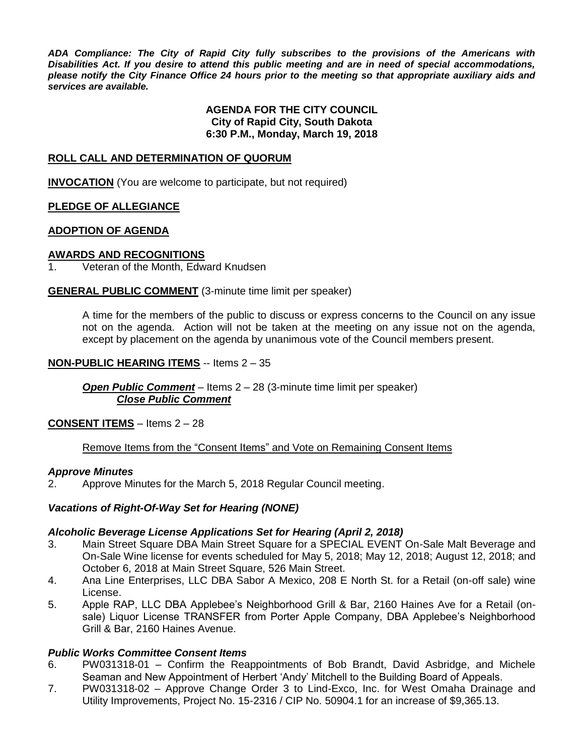*ADA Compliance: The City of Rapid City fully subscribes to the provisions of the Americans with Disabilities Act. If you desire to attend this public meeting and are in need of special accommodations, please notify the City Finance Office 24 hours prior to the meeting so that appropriate auxiliary aids and services are available.*

## **AGENDA FOR THE CITY COUNCIL City of Rapid City, South Dakota 6:30 P.M., Monday, March 19, 2018**

## **ROLL CALL AND DETERMINATION OF QUORUM**

**INVOCATION** (You are welcome to participate, but not required)

## **PLEDGE OF ALLEGIANCE**

## **ADOPTION OF AGENDA**

## **AWARDS AND RECOGNITIONS**

1. Veteran of the Month, Edward Knudsen

## **GENERAL PUBLIC COMMENT** (3-minute time limit per speaker)

A time for the members of the public to discuss or express concerns to the Council on any issue not on the agenda. Action will not be taken at the meeting on any issue not on the agenda, except by placement on the agenda by unanimous vote of the Council members present.

## **NON-PUBLIC HEARING ITEMS** -- Items 2 – 35

*Open Public Comment* – Items 2 – 28 (3-minute time limit per speaker) *Close Public Comment*

## **CONSENT ITEMS** – Items 2 – 28

# Remove Items from the "Consent Items" and Vote on Remaining Consent Items

## *Approve Minutes*

2. Approve Minutes for the March 5, 2018 Regular Council meeting.

# *Vacations of Right-Of-Way Set for Hearing (NONE)*

## *Alcoholic Beverage License Applications Set for Hearing (April 2, 2018)*

- 3. Main Street Square DBA Main Street Square for a SPECIAL EVENT On-Sale Malt Beverage and On-Sale Wine license for events scheduled for May 5, 2018; May 12, 2018; August 12, 2018; and October 6, 2018 at Main Street Square, 526 Main Street.
- 4. Ana Line Enterprises, LLC DBA Sabor A Mexico, 208 E North St. for a Retail (on-off sale) wine License.
- 5. Apple RAP, LLC DBA Applebee's Neighborhood Grill & Bar, 2160 Haines Ave for a Retail (onsale) Liquor License TRANSFER from Porter Apple Company, DBA Applebee's Neighborhood Grill & Bar, 2160 Haines Avenue.

## *Public Works Committee Consent Items*

- 6. PW031318-01 Confirm the Reappointments of Bob Brandt, David Asbridge, and Michele Seaman and New Appointment of Herbert 'Andy' Mitchell to the Building Board of Appeals.
- 7. PW031318-02 Approve Change Order 3 to Lind-Exco, Inc. for West Omaha Drainage and Utility Improvements, Project No. 15-2316 / CIP No. 50904.1 for an increase of \$9,365.13.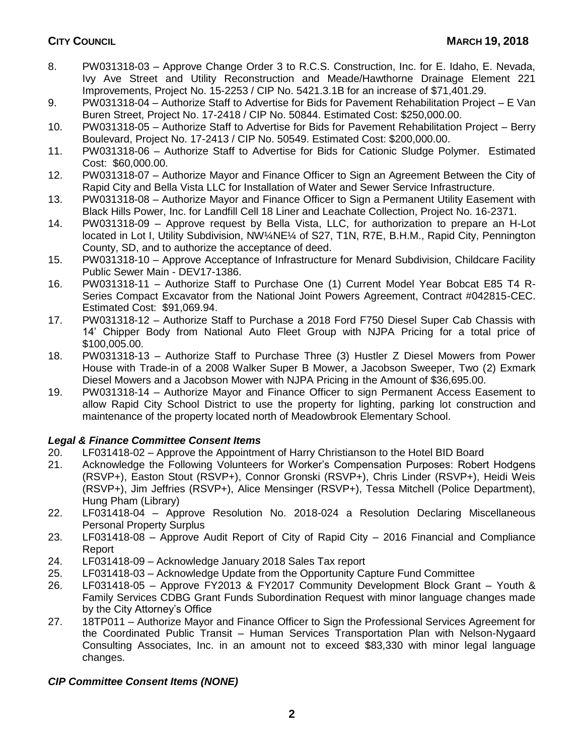- 8. PW031318-03 Approve Change Order 3 to R.C.S. Construction, Inc. for E. Idaho, E. Nevada, Ivy Ave Street and Utility Reconstruction and Meade/Hawthorne Drainage Element 221 Improvements, Project No. 15-2253 / CIP No. 5421.3.1B for an increase of \$71,401.29.
- 9. PW031318-04 Authorize Staff to Advertise for Bids for Pavement Rehabilitation Project E Van Buren Street, Project No. 17-2418 / CIP No. 50844. Estimated Cost: \$250,000.00.
- 10. PW031318-05 Authorize Staff to Advertise for Bids for Pavement Rehabilitation Project Berry Boulevard, Project No. 17-2413 / CIP No. 50549. Estimated Cost: \$200,000.00.
- 11. PW031318-06 Authorize Staff to Advertise for Bids for Cationic Sludge Polymer. Estimated Cost: \$60,000.00.
- 12. PW031318-07 Authorize Mayor and Finance Officer to Sign an Agreement Between the City of Rapid City and Bella Vista LLC for Installation of Water and Sewer Service Infrastructure.
- 13. PW031318-08 Authorize Mayor and Finance Officer to Sign a Permanent Utility Easement with Black Hills Power, Inc. for Landfill Cell 18 Liner and Leachate Collection, Project No. 16-2371.
- 14. PW031318-09 Approve request by Bella Vista, LLC, for authorization to prepare an H-Lot located in Lot I, Utility Subdivision, NW¼NE¼ of S27, T1N, R7E, B.H.M., Rapid City, Pennington County, SD, and to authorize the acceptance of deed.
- 15. PW031318-10 Approve Acceptance of Infrastructure for Menard Subdivision, Childcare Facility Public Sewer Main - DEV17-1386.
- 16. PW031318-11 Authorize Staff to Purchase One (1) Current Model Year Bobcat E85 T4 R-Series Compact Excavator from the National Joint Powers Agreement, Contract #042815-CEC. Estimated Cost: \$91,069.94.
- 17. PW031318-12 Authorize Staff to Purchase a 2018 Ford F750 Diesel Super Cab Chassis with 14' Chipper Body from National Auto Fleet Group with NJPA Pricing for a total price of \$100,005.00.
- 18. PW031318-13 Authorize Staff to Purchase Three (3) Hustler Z Diesel Mowers from Power House with Trade-in of a 2008 Walker Super B Mower, a Jacobson Sweeper, Two (2) Exmark Diesel Mowers and a Jacobson Mower with NJPA Pricing in the Amount of \$36,695.00.
- 19. PW031318-14 Authorize Mayor and Finance Officer to sign Permanent Access Easement to allow Rapid City School District to use the property for lighting, parking lot construction and maintenance of the property located north of Meadowbrook Elementary School.

# *Legal & Finance Committee Consent Items*

- 20. LF031418-02 Approve the Appointment of Harry Christianson to the Hotel BID Board
- 21. Acknowledge the Following Volunteers for Worker's Compensation Purposes: Robert Hodgens (RSVP+), Easton Stout (RSVP+), Connor Gronski (RSVP+), Chris Linder (RSVP+), Heidi Weis (RSVP+), Jim Jeffries (RSVP+), Alice Mensinger (RSVP+), Tessa Mitchell (Police Department), Hung Pham (Library)
- 22. LF031418-04 Approve Resolution No. 2018-024 a Resolution Declaring Miscellaneous Personal Property Surplus
- 23. LF031418-08 Approve Audit Report of City of Rapid City 2016 Financial and Compliance Report
- 24. LF031418-09 Acknowledge January 2018 Sales Tax report
- 25. LF031418-03 Acknowledge Update from the Opportunity Capture Fund Committee
- 26. LF031418-05 Approve FY2013 & FY2017 Community Development Block Grant Youth & Family Services CDBG Grant Funds Subordination Request with minor language changes made by the City Attorney's Office
- 27. 18TP011 Authorize Mayor and Finance Officer to Sign the Professional Services Agreement for the Coordinated Public Transit – Human Services Transportation Plan with Nelson-Nygaard Consulting Associates, Inc. in an amount not to exceed \$83,330 with minor legal language changes.

# *CIP Committee Consent Items (NONE)*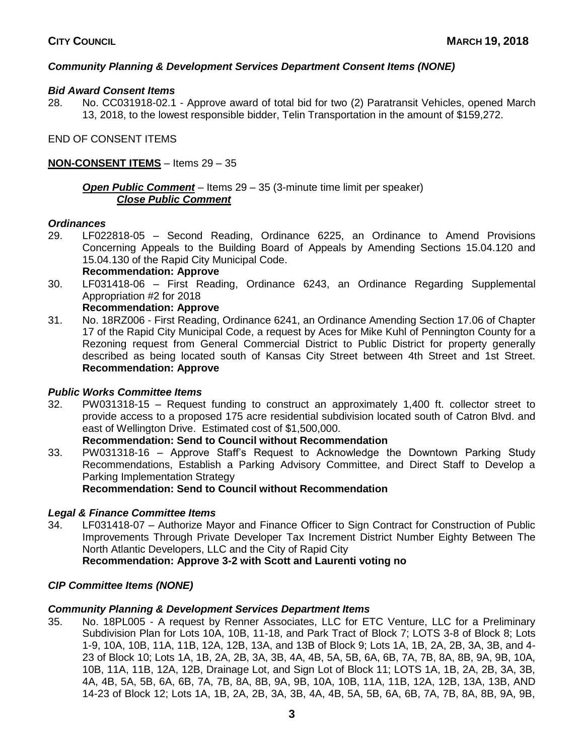# *Community Planning & Development Services Department Consent Items (NONE)*

# *Bid Award Consent Items*

28. No. CC031918-02.1 - Approve award of total bid for two (2) Paratransit Vehicles, opened March 13, 2018, to the lowest responsible bidder, Telin Transportation in the amount of \$159,272.

END OF CONSENT ITEMS

# **NON-CONSENT ITEMS** – Items 29 – 35

*Open Public Comment* – Items 29 – 35 (3-minute time limit per speaker) *Close Public Comment*

#### *Ordinances*

- 29. LF022818-05 Second Reading, Ordinance 6225, an Ordinance to Amend Provisions Concerning Appeals to the Building Board of Appeals by Amending Sections 15.04.120 and 15.04.130 of the Rapid City Municipal Code.
	- **Recommendation: Approve**
- 30. LF031418-06 First Reading, Ordinance 6243, an Ordinance Regarding Supplemental Appropriation #2 for 2018

## **Recommendation: Approve**

31. No. 18RZ006 - First Reading, Ordinance 6241, an Ordinance Amending Section 17.06 of Chapter 17 of the Rapid City Municipal Code, a request by Aces for Mike Kuhl of Pennington County for a Rezoning request from General Commercial District to Public District for property generally described as being located south of Kansas City Street between 4th Street and 1st Street. **Recommendation: Approve**

## *Public Works Committee Items*

32. PW031318-15 – Request funding to construct an approximately 1,400 ft. collector street to provide access to a proposed 175 acre residential subdivision located south of Catron Blvd. and east of Wellington Drive. Estimated cost of \$1,500,000.

## **Recommendation: Send to Council without Recommendation**

33. PW031318-16 – Approve Staff's Request to Acknowledge the Downtown Parking Study Recommendations, Establish a Parking Advisory Committee, and Direct Staff to Develop a Parking Implementation Strategy

**Recommendation: Send to Council without Recommendation**

## *Legal & Finance Committee Items*

34. LF031418-07 – Authorize Mayor and Finance Officer to Sign Contract for Construction of Public Improvements Through Private Developer Tax Increment District Number Eighty Between The North Atlantic Developers, LLC and the City of Rapid City

# **Recommendation: Approve 3-2 with Scott and Laurenti voting no**

## *CIP Committee Items (NONE)*

## *Community Planning & Development Services Department Items*

35. No. 18PL005 - A request by Renner Associates, LLC for ETC Venture, LLC for a Preliminary Subdivision Plan for Lots 10A, 10B, 11-18, and Park Tract of Block 7; LOTS 3-8 of Block 8; Lots 1-9, 10A, 10B, 11A, 11B, 12A, 12B, 13A, and 13B of Block 9; Lots 1A, 1B, 2A, 2B, 3A, 3B, and 4- 23 of Block 10; Lots 1A, 1B, 2A, 2B, 3A, 3B, 4A, 4B, 5A, 5B, 6A, 6B, 7A, 7B, 8A, 8B, 9A, 9B, 10A, 10B, 11A, 11B, 12A, 12B, Drainage Lot, and Sign Lot of Block 11; LOTS 1A, 1B, 2A, 2B, 3A, 3B, 4A, 4B, 5A, 5B, 6A, 6B, 7A, 7B, 8A, 8B, 9A, 9B, 10A, 10B, 11A, 11B, 12A, 12B, 13A, 13B, AND 14-23 of Block 12; Lots 1A, 1B, 2A, 2B, 3A, 3B, 4A, 4B, 5A, 5B, 6A, 6B, 7A, 7B, 8A, 8B, 9A, 9B,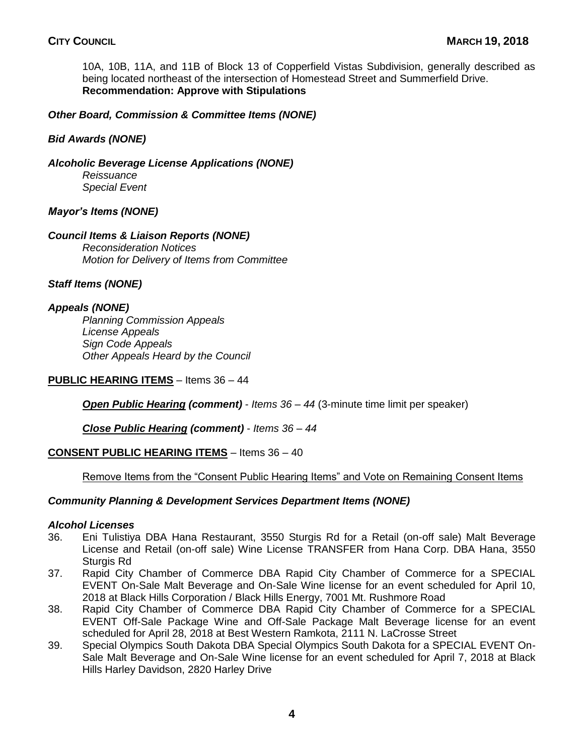10A, 10B, 11A, and 11B of Block 13 of Copperfield Vistas Subdivision, generally described as being located northeast of the intersection of Homestead Street and Summerfield Drive. **Recommendation: Approve with Stipulations**

# *Other Board, Commission & Committee Items (NONE)*

## *Bid Awards (NONE)*

*Alcoholic Beverage License Applications (NONE)*

*Reissuance Special Event*

## *Mayor's Items (NONE)*

## *Council Items & Liaison Reports (NONE)*

*Reconsideration Notices Motion for Delivery of Items from Committee*

*Staff Items (NONE)*

## *Appeals (NONE)*

*Planning Commission Appeals License Appeals Sign Code Appeals Other Appeals Heard by the Council*

**PUBLIC HEARING ITEMS** – Items 36 – 44

*Open Public Hearing (comment)* - *Items 36 – 44* (3-minute time limit per speaker)

*Close Public Hearing (comment)* - *Items 36 – 44*

## **CONSENT PUBLIC HEARING ITEMS** – Items 36 – 40

## Remove Items from the "Consent Public Hearing Items" and Vote on Remaining Consent Items

## *Community Planning & Development Services Department Items (NONE)*

## *Alcohol Licenses*

- 36. Eni Tulistiya DBA Hana Restaurant, 3550 Sturgis Rd for a Retail (on-off sale) Malt Beverage License and Retail (on-off sale) Wine License TRANSFER from Hana Corp. DBA Hana, 3550 Sturgis Rd
- 37. Rapid City Chamber of Commerce DBA Rapid City Chamber of Commerce for a SPECIAL EVENT On-Sale Malt Beverage and On-Sale Wine license for an event scheduled for April 10, 2018 at Black Hills Corporation / Black Hills Energy, 7001 Mt. Rushmore Road
- 38. Rapid City Chamber of Commerce DBA Rapid City Chamber of Commerce for a SPECIAL EVENT Off-Sale Package Wine and Off-Sale Package Malt Beverage license for an event scheduled for April 28, 2018 at Best Western Ramkota, 2111 N. LaCrosse Street
- 39. Special Olympics South Dakota DBA Special Olympics South Dakota for a SPECIAL EVENT On-Sale Malt Beverage and On-Sale Wine license for an event scheduled for April 7, 2018 at Black Hills Harley Davidson, 2820 Harley Drive